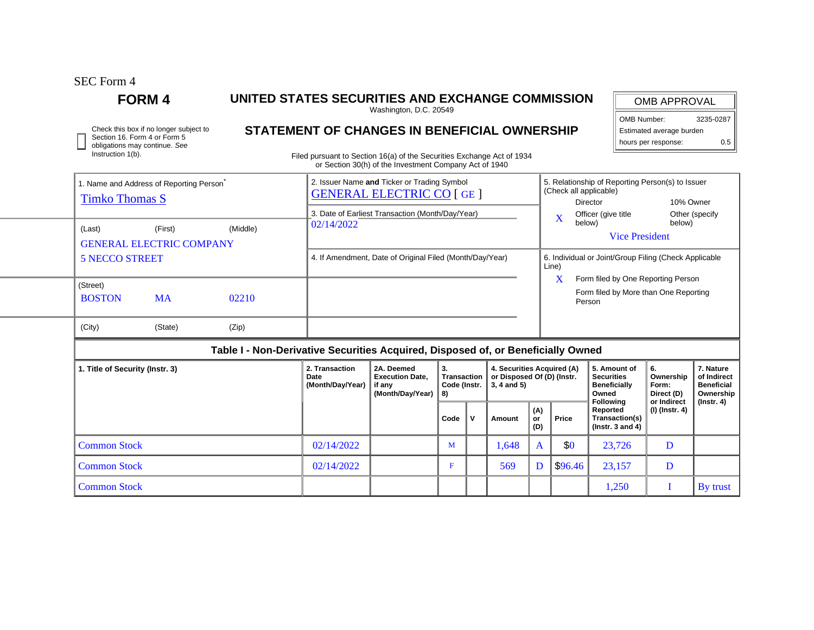SEC Form 4

Instruction 1(b).

## **FORM 4 UNITED STATES SECURITIES AND EXCHANGE COMMISSION**

Washington, D.C. 20549

OMB APPROVAL

OMB Number: 3235-0287 Estimated average burden

| Check this box if no longer subject to                        | STATEMENT OF CHANGES IN BENEFICIAL OWNERSHIP | Estimated average burden |     |
|---------------------------------------------------------------|----------------------------------------------|--------------------------|-----|
| Section 16. Form 4 or Form 5<br>obligations may continue. See |                                              | hours per response:      | 0.5 |

Filed pursuant to Section 16(a) of the Securities Exchange Act of 1934 or Section 30(h) of the Investment Company Act of 1940

|                                 |                           |                                                   |                                                                                  |                                                                       | 02/14/2022<br>4. If Amendment, Date of Original Filed (Month/Day/Year) |                                                                                       |           |       |                                                                                                                     |                                                                         | $\mathbf X$<br>below)<br>below)<br><b>Vice President</b><br>6. Individual or Joint/Group Filing (Check Applicable |  |  |  |
|---------------------------------|---------------------------|---------------------------------------------------|----------------------------------------------------------------------------------|-----------------------------------------------------------------------|------------------------------------------------------------------------|---------------------------------------------------------------------------------------|-----------|-------|---------------------------------------------------------------------------------------------------------------------|-------------------------------------------------------------------------|-------------------------------------------------------------------------------------------------------------------|--|--|--|
|                                 | <b>5 NECCO STREET</b>     |                                                   |                                                                                  |                                                                       |                                                                        |                                                                                       |           |       |                                                                                                                     | Line)<br>X<br>Form filed by One Reporting Person                        |                                                                                                                   |  |  |  |
|                                 | (Street)<br><b>BOSTON</b> | <b>MA</b>                                         | 02210                                                                            |                                                                       |                                                                        |                                                                                       |           |       |                                                                                                                     |                                                                         | Form filed by More than One Reporting<br>Person                                                                   |  |  |  |
|                                 | (City)                    | (State)                                           | (Zip)                                                                            |                                                                       |                                                                        |                                                                                       |           |       |                                                                                                                     |                                                                         |                                                                                                                   |  |  |  |
|                                 |                           |                                                   | Table I - Non-Derivative Securities Acquired, Disposed of, or Beneficially Owned |                                                                       |                                                                        |                                                                                       |           |       |                                                                                                                     |                                                                         |                                                                                                                   |  |  |  |
| 1. Title of Security (Instr. 3) |                           | 2. Transaction<br><b>Date</b><br>(Month/Day/Year) | 2A. Deemed<br><b>Execution Date.</b><br>if any<br>(Month/Day/Year)               | 3.<br><b>Transaction</b><br>Code (Instr.<br>8)<br>$\mathbf v$<br>Code |                                                                        | 4. Securities Acquired (A)<br>or Disposed Of (D) (Instr.<br>$3, 4$ and $5)$<br>Amount | (A)<br>or | Price | 5. Amount of<br><b>Securities</b><br><b>Beneficially</b><br>Owned<br><b>Following</b><br>Reported<br>Transaction(s) | 6.<br>Ownership<br>Form:<br>Direct (D)<br>or Indirect<br>(I) (Instr. 4) | 7. Nature<br>of Indirect<br><b>Beneficial</b><br>Ownership<br>(Instr. 4)                                          |  |  |  |

Common Stock  $02/14/2022$  M 1,648 A \$0 23,726 D Common Stock 02/14/2022 F 569 D \$96.46 23,157 D

Common Stock and the set of the set of the set of the set of the set of the set of the set of the set of the set of the set of the set of the set of the set of the set of the set of the set of the set of the set of the set